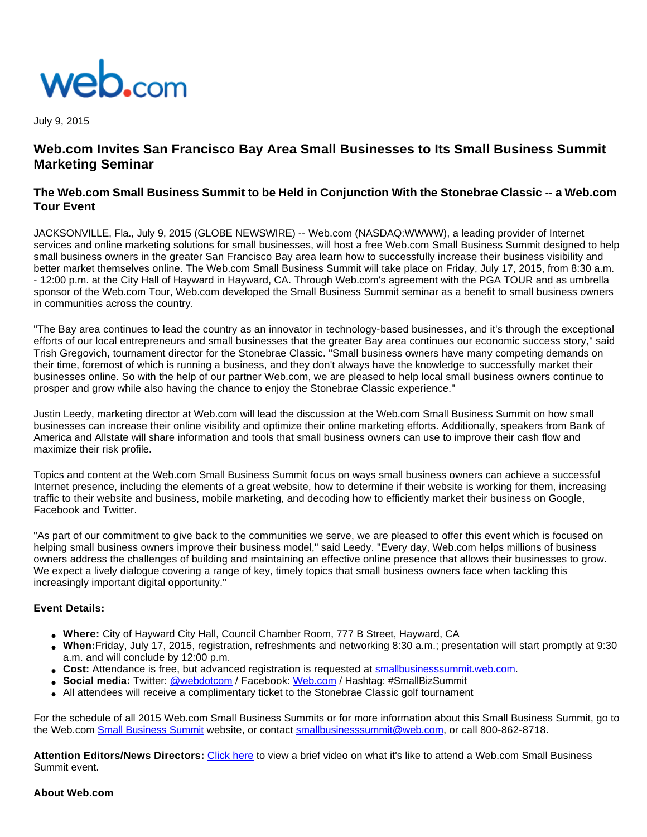

July 9, 2015

# **Web.com Invites San Francisco Bay Area Small Businesses to Its Small Business Summit Marketing Seminar**

## **The Web.com Small Business Summit to be Held in Conjunction With the Stonebrae Classic -- a Web.com Tour Event**

JACKSONVILLE, Fla., July 9, 2015 (GLOBE NEWSWIRE) -- Web.com (NASDAQ:WWWW), a leading provider of Internet services and online marketing solutions for small businesses, will host a free Web.com Small Business Summit designed to help small business owners in the greater San Francisco Bay area learn how to successfully increase their business visibility and better market themselves online. The Web.com Small Business Summit will take place on Friday, July 17, 2015, from 8:30 a.m. - 12:00 p.m. at the City Hall of Hayward in Hayward, CA. Through Web.com's agreement with the PGA TOUR and as umbrella sponsor of the Web.com Tour, Web.com developed the Small Business Summit seminar as a benefit to small business owners in communities across the country.

"The Bay area continues to lead the country as an innovator in technology-based businesses, and it's through the exceptional efforts of our local entrepreneurs and small businesses that the greater Bay area continues our economic success story," said Trish Gregovich, tournament director for the Stonebrae Classic. "Small business owners have many competing demands on their time, foremost of which is running a business, and they don't always have the knowledge to successfully market their businesses online. So with the help of our partner Web.com, we are pleased to help local small business owners continue to prosper and grow while also having the chance to enjoy the Stonebrae Classic experience."

Justin Leedy, marketing director at Web.com will lead the discussion at the Web.com Small Business Summit on how small businesses can increase their online visibility and optimize their online marketing efforts. Additionally, speakers from Bank of America and Allstate will share information and tools that small business owners can use to improve their cash flow and maximize their risk profile.

Topics and content at the Web.com Small Business Summit focus on ways small business owners can achieve a successful Internet presence, including the elements of a great website, how to determine if their website is working for them, increasing traffic to their website and business, mobile marketing, and decoding how to efficiently market their business on Google, Facebook and Twitter.

"As part of our commitment to give back to the communities we serve, we are pleased to offer this event which is focused on helping small business owners improve their business model," said Leedy. "Every day, Web.com helps millions of business owners address the challenges of building and maintaining an effective online presence that allows their businesses to grow. We expect a lively dialogue covering a range of key, timely topics that small business owners face when tackling this increasingly important digital opportunity."

#### **Event Details:**

- **Where:** City of Hayward City Hall, Council Chamber Room, 777 B Street, Hayward, CA
- **When:**Friday, July 17, 2015, registration, refreshments and networking 8:30 a.m.; presentation will start promptly at 9:30 a.m. and will conclude by 12:00 p.m.
- Cost: Attendance is free, but advanced registration is requested at [smallbusinesssummit.web.com.](http://www.globenewswire.com/newsroom/ctr?d=10141119&l=6&a=smallbusinesssummit.web.com&u=http%3A%2F%2Fsmallbusinesssummit.web.com%2F)
- **Social media:** Twitter: [@webdotcom](http://www.globenewswire.com/newsroom/ctr?d=10141119&l=6&a=%40webdotcom&u=http%3A%2F%2Ftwitter.com%2Fwebdotcom) / Facebook: [Web.com](http://www.globenewswire.com/newsroom/ctr?d=10141119&l=6&a=Web.com&u=http%3A%2F%2Fwww.facebook.com%2FWeb.com) / Hashtag: #SmallBizSummit
- All attendees will receive a complimentary ticket to the Stonebrae Classic golf tournament

For the schedule of all 2015 Web.com Small Business Summits or for more information about this Small Business Summit, go to the Web.com [Small Business Summit](http://www.globenewswire.com/newsroom/ctr?d=10141119&l=7&a=Small%20Business%20Summit&u=http%3A%2F%2Fsmallbusinesssummit.web.com%2F) website, or contact [smallbusinesssummit@web.com,](http://www.globenewswire.com/newsroom/ctr?d=10141119&l=7&a=smallbusinesssummit%40web.com&u=mailto%3Asmallbusinesssummit%40web.com) or call 800-862-8718.

**Attention Editors/News Directors:** [Click here](http://www.globenewswire.com/newsroom/ctr?d=10141119&l=8&a=Click%20here&u=https%3A%2F%2Fwww.youtube.com%2Fwatch%3Fv%3D9GYOsxwgC4M) to view a brief video on what it's like to attend a Web.com Small Business Summit event.

#### **About Web.com**